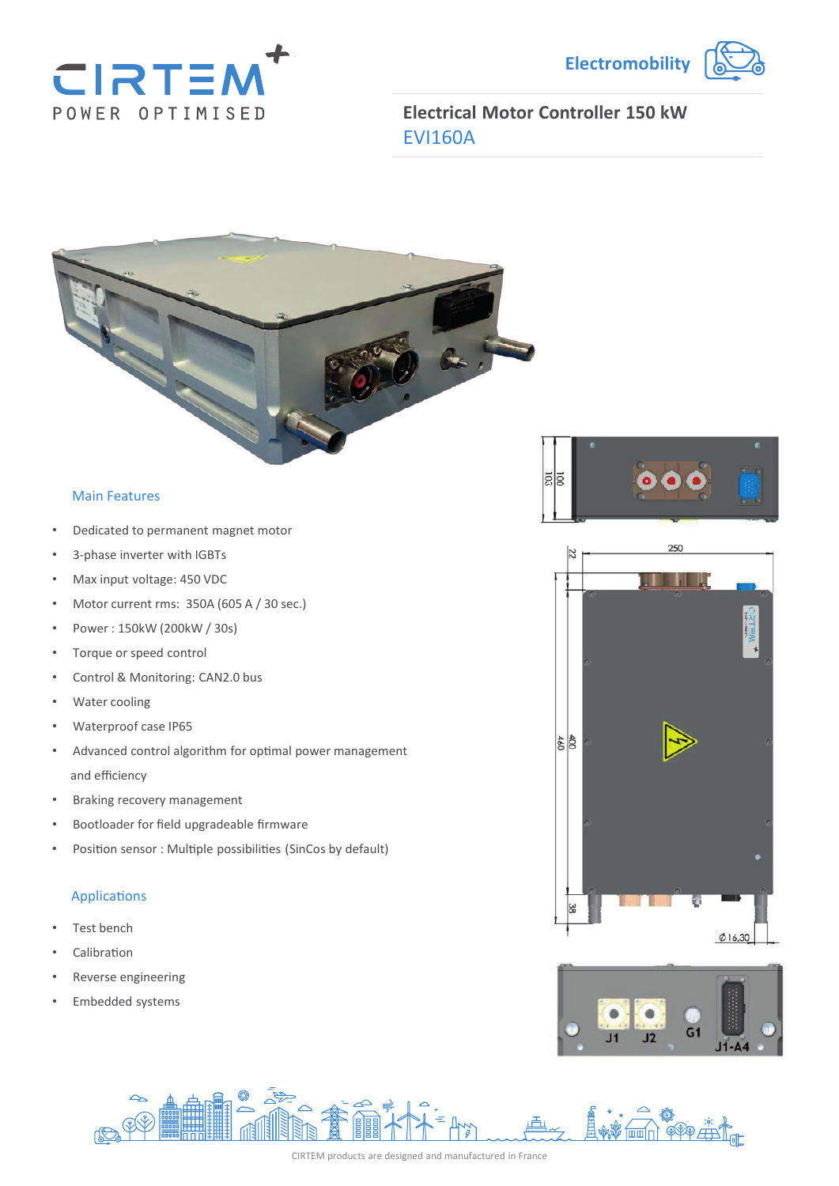



**Electrical Motor Controller 150 kW** EVI160A



#### Main Features

- Dedicated to permanent magnet motor
- 3-phase inverter with IGBTs
- Max input voltage: 450 VDC
- Motor current rms: 350A (605 A / 30 sec.)
- Power : 150kW (200kW / 30s)
- Torque or speed control
- Control & Monitoring: CAN2.0 bus
- Water cooling
- Waterproof case IP65
- Advanced control algorithm for optimal power management and efficiency
- Braking recovery management
- Bootloader for field upgradeable firmware
- Position sensor : Multiple possibilities (SinCos by default)

#### **Applications**

- Test bench
- **Calibration**
- Reverse engineering
- Embedded systems